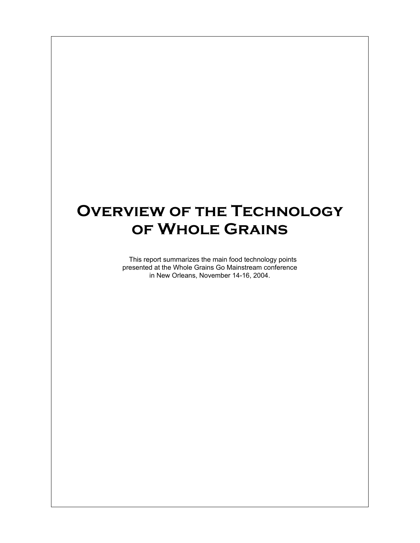# **Overview of the Technology of Whole Grains**

This report summarizes the main food technology points presented at the Whole Grains Go Mainstream conference in New Orleans, November 14-16, 2004.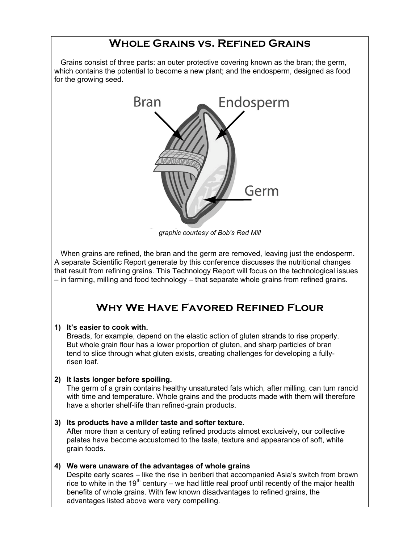### **Whole Grains vs. Refined Grains**

Grains consist of three parts: an outer protective covering known as the bran; the germ, which contains the potential to become a new plant; and the endosperm, designed as food for the growing seed.



*graphic courtesy of Bob's Red Mill*

When grains are refined, the bran and the germ are removed, leaving just the endosperm. A separate Scientific Report generate by this conference discusses the nutritional changes that result from refining grains. This Technology Report will focus on the technological issues – in farming, milling and food technology – that separate whole grains from refined grains.

# **Why We Have Favored Refined Flour**

#### **1) It's easier to cook with.**

Breads, for example, depend on the elastic action of gluten strands to rise properly. But whole grain flour has a lower proportion of gluten, and sharp particles of bran tend to slice through what gluten exists, creating challenges for developing a fullyrisen loaf.

#### **2) It lasts longer before spoiling.**

The germ of a grain contains healthy unsaturated fats which, after milling, can turn rancid with time and temperature. Whole grains and the products made with them will therefore have a shorter shelf-life than refined-grain products.

#### **3) Its products have a milder taste and softer texture.** After more than a century of eating refined products almost exclusively, our collective

palates have become accustomed to the taste, texture and appearance of soft, white grain foods.

#### **4) We were unaware of the advantages of whole grains**

Despite early scares – like the rise in beriberi that accompanied Asia's switch from brown rice to white in the 19<sup>th</sup> century – we had little real proof until recently of the major health benefits of whole grains. With few known disadvantages to refined grains, the advantages listed above were very compelling.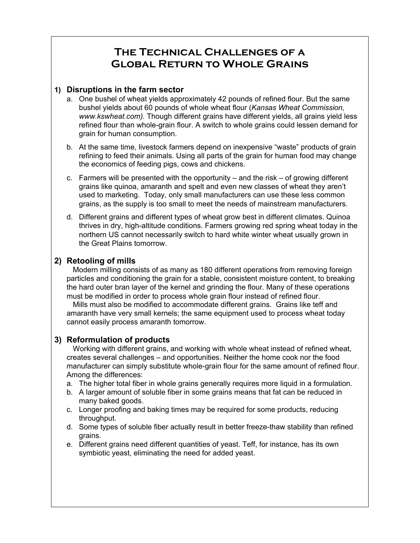## **The Technical Challenges of a Global Return to Whole Grains**

#### **1) Disruptions in the farm sector**

- a. One bushel of wheat yields approximately 42 pounds of refined flour. But the same bushel yields about 60 pounds of whole wheat flour (*Kansas Wheat Commission, www.kswheat.com).* Though different grains have different yields, all grains yield less refined flour than whole-grain flour. A switch to whole grains could lessen demand for grain for human consumption.
- b. At the same time, livestock farmers depend on inexpensive "waste" products of grain refining to feed their animals. Using all parts of the grain for human food may change the economics of feeding pigs, cows and chickens.
- c. Farmers will be presented with the opportunity and the risk of growing different grains like quinoa, amaranth and spelt and even new classes of wheat they aren't used to marketing. Today, only small manufacturers can use these less common grains, as the supply is too small to meet the needs of mainstream manufacturers.
- d. Different grains and different types of wheat grow best in different climates. Quinoa thrives in dry, high-altitude conditions. Farmers growing red spring wheat today in the northern US cannot necessarily switch to hard white winter wheat usually grown in the Great Plains tomorrow.

### **2) Retooling of mills**

Modern milling consists of as many as 180 different operations from removing foreign particles and conditioning the grain for a stable, consistent moisture content, to breaking the hard outer bran layer of the kernel and grinding the flour. Many of these operations must be modified in order to process whole grain flour instead of refined flour.

Mills must also be modified to accommodate different grains. Grains like teff and amaranth have very small kernels; the same equipment used to process wheat today cannot easily process amaranth tomorrow.

### **3) Reformulation of products**

Working with different grains, and working with whole wheat instead of refined wheat, creates several challenges – and opportunities. Neither the home cook nor the food manufacturer can simply substitute whole-grain flour for the same amount of refined flour. Among the differences:

- a. The higher total fiber in whole grains generally requires more liquid in a formulation.
- b. A larger amount of soluble fiber in some grains means that fat can be reduced in many baked goods.
- c. Longer proofing and baking times may be required for some products, reducing throughput.
- d. Some types of soluble fiber actually result in better freeze-thaw stability than refined grains.
- e. Different grains need different quantities of yeast. Teff, for instance, has its own symbiotic yeast, eliminating the need for added yeast.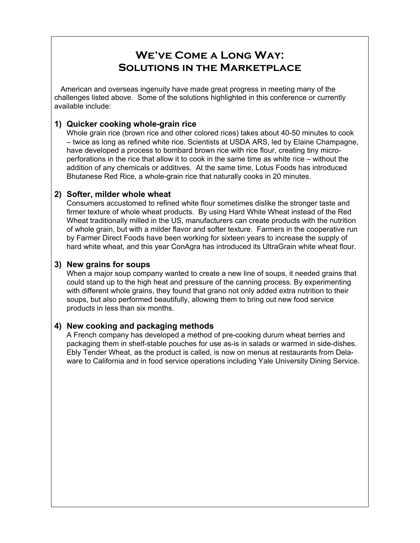### **We've Come a Long Way: Solutions in the Marketplace**

American and overseas ingenuity have made great progress in meeting many of the challenges listed above. Some of the solutions highlighted in this conference or currently available include:

### **1) Quicker cooking whole-grain rice**

Whole grain rice (brown rice and other colored rices) takes about 40-50 minutes to cook – twice as long as refined white rice. Scientists at USDA ARS, led by Elaine Champagne, have developed a process to bombard brown rice with rice flour, creating tiny microperforations in the rice that allow it to cook in the same time as white rice – without the addition of any chemicals or additives. At the same time, Lotus Foods has introduced Bhutanese Red Rice, a whole-grain rice that naturally cooks in 20 minutes.

### **2) Softer, milder whole wheat**

Consumers accustomed to refined white flour sometimes dislike the stronger taste and firmer texture of whole wheat products. By using Hard White Wheat instead of the Red Wheat traditionally milled in the US, manufacturers can create products with the nutrition of whole grain, but with a milder flavor and softer texture. Farmers in the cooperative run by Farmer Direct Foods have been working for sixteen years to increase the supply of hard white wheat, and this year ConAgra has introduced its UltraGrain white wheat flour.

### **3) New grains for soups**

When a major soup company wanted to create a new line of soups, it needed grains that could stand up to the high heat and pressure of the canning process. By experimenting with different whole grains, they found that grano not only added extra nutrition to their soups, but also performed beautifully, allowing them to bring out new food service products in less than six months.

### **4) New cooking and packaging methods**

A French company has developed a method of pre-cooking durum wheat berries and packaging them in shelf-stable pouches for use as-is in salads or warmed in side-dishes. Ebly Tender Wheat, as the product is called, is now on menus at restaurants from Delaware to California and in food service operations including Yale University Dining Service.